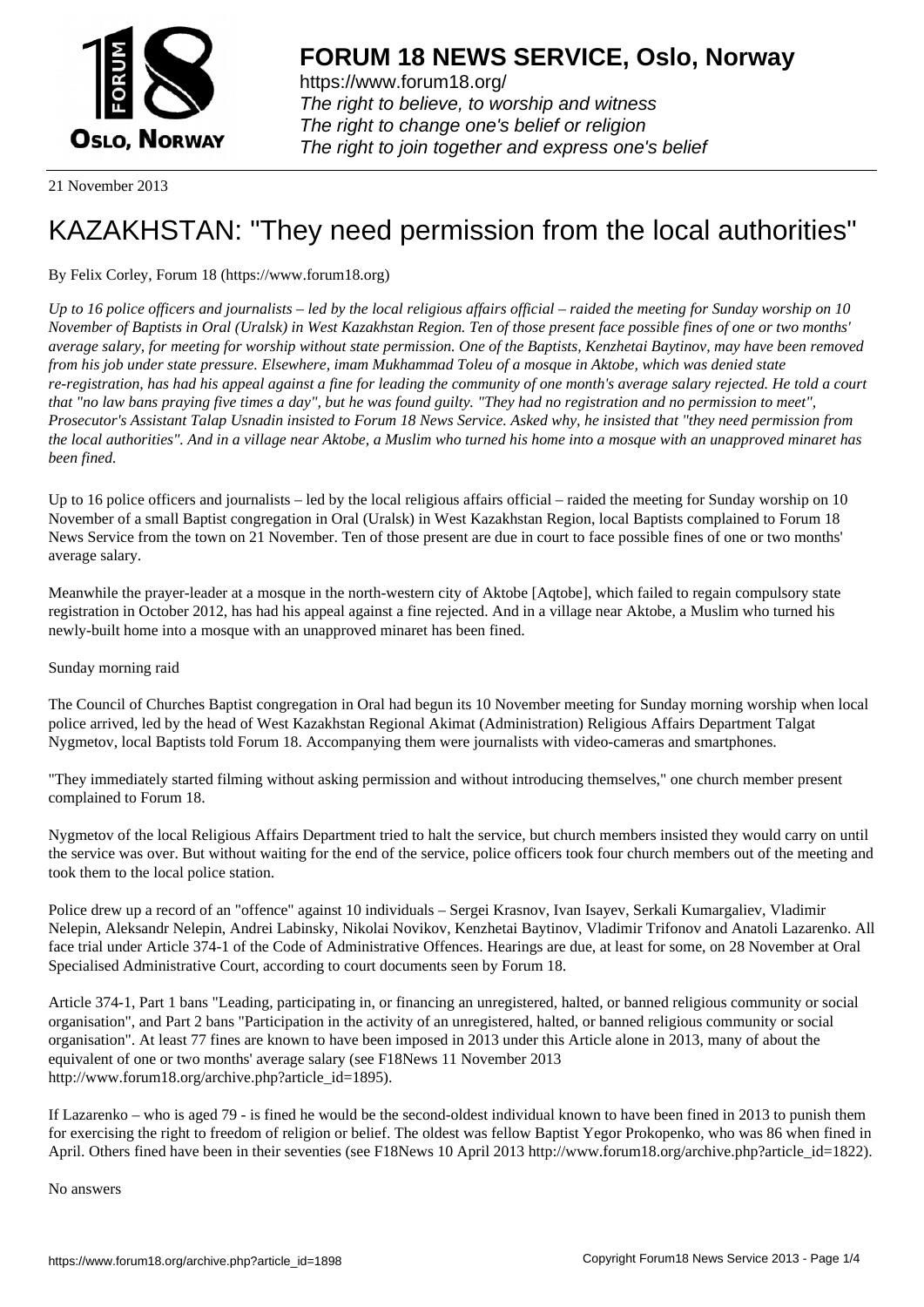

https://www.forum18.org/ The right to believe, to worship and witness The right to change one's belief or religion [The right to join together a](https://www.forum18.org/)nd express one's belief

21 November 2013

# [KAZAKHSTAN:](https://www.forum18.org) "They need permission from the local authorities"

By Felix Corley, Forum 18 (https://www.forum18.org)

*Up to 16 police officers and journalists – led by the local religious affairs official – raided the meeting for Sunday worship on 10 November of Baptists in Oral (Uralsk) in West Kazakhstan Region. Ten of those present face possible fines of one or two months' average salary, for meeting for worship without state permission. One of the Baptists, Kenzhetai Baytinov, may have been removed from his job under state pressure. Elsewhere, imam Mukhammad Toleu of a mosque in Aktobe, which was denied state re-registration, has had his appeal against a fine for leading the community of one month's average salary rejected. He told a court that "no law bans praying five times a day", but he was found guilty. "They had no registration and no permission to meet", Prosecutor's Assistant Talap Usnadin insisted to Forum 18 News Service. Asked why, he insisted that "they need permission from the local authorities". And in a village near Aktobe, a Muslim who turned his home into a mosque with an unapproved minaret has been fined.*

Up to 16 police officers and journalists – led by the local religious affairs official – raided the meeting for Sunday worship on 10 November of a small Baptist congregation in Oral (Uralsk) in West Kazakhstan Region, local Baptists complained to Forum 18 News Service from the town on 21 November. Ten of those present are due in court to face possible fines of one or two months' average salary.

Meanwhile the prayer-leader at a mosque in the north-western city of Aktobe [Aqtobe], which failed to regain compulsory state registration in October 2012, has had his appeal against a fine rejected. And in a village near Aktobe, a Muslim who turned his newly-built home into a mosque with an unapproved minaret has been fined.

# Sunday morning raid

The Council of Churches Baptist congregation in Oral had begun its 10 November meeting for Sunday morning worship when local police arrived, led by the head of West Kazakhstan Regional Akimat (Administration) Religious Affairs Department Talgat Nygmetov, local Baptists told Forum 18. Accompanying them were journalists with video-cameras and smartphones.

"They immediately started filming without asking permission and without introducing themselves," one church member present complained to Forum 18.

Nygmetov of the local Religious Affairs Department tried to halt the service, but church members insisted they would carry on until the service was over. But without waiting for the end of the service, police officers took four church members out of the meeting and took them to the local police station.

Police drew up a record of an "offence" against 10 individuals – Sergei Krasnov, Ivan Isayev, Serkali Kumargaliev, Vladimir Nelepin, Aleksandr Nelepin, Andrei Labinsky, Nikolai Novikov, Kenzhetai Baytinov, Vladimir Trifonov and Anatoli Lazarenko. All face trial under Article 374-1 of the Code of Administrative Offences. Hearings are due, at least for some, on 28 November at Oral Specialised Administrative Court, according to court documents seen by Forum 18.

Article 374-1, Part 1 bans "Leading, participating in, or financing an unregistered, halted, or banned religious community or social organisation", and Part 2 bans "Participation in the activity of an unregistered, halted, or banned religious community or social organisation". At least 77 fines are known to have been imposed in 2013 under this Article alone in 2013, many of about the equivalent of one or two months' average salary (see F18News 11 November 2013 http://www.forum18.org/archive.php?article\_id=1895).

If Lazarenko – who is aged 79 - is fined he would be the second-oldest individual known to have been fined in 2013 to punish them for exercising the right to freedom of religion or belief. The oldest was fellow Baptist Yegor Prokopenko, who was 86 when fined in April. Others fined have been in their seventies (see F18News 10 April 2013 http://www.forum18.org/archive.php?article\_id=1822).

No answers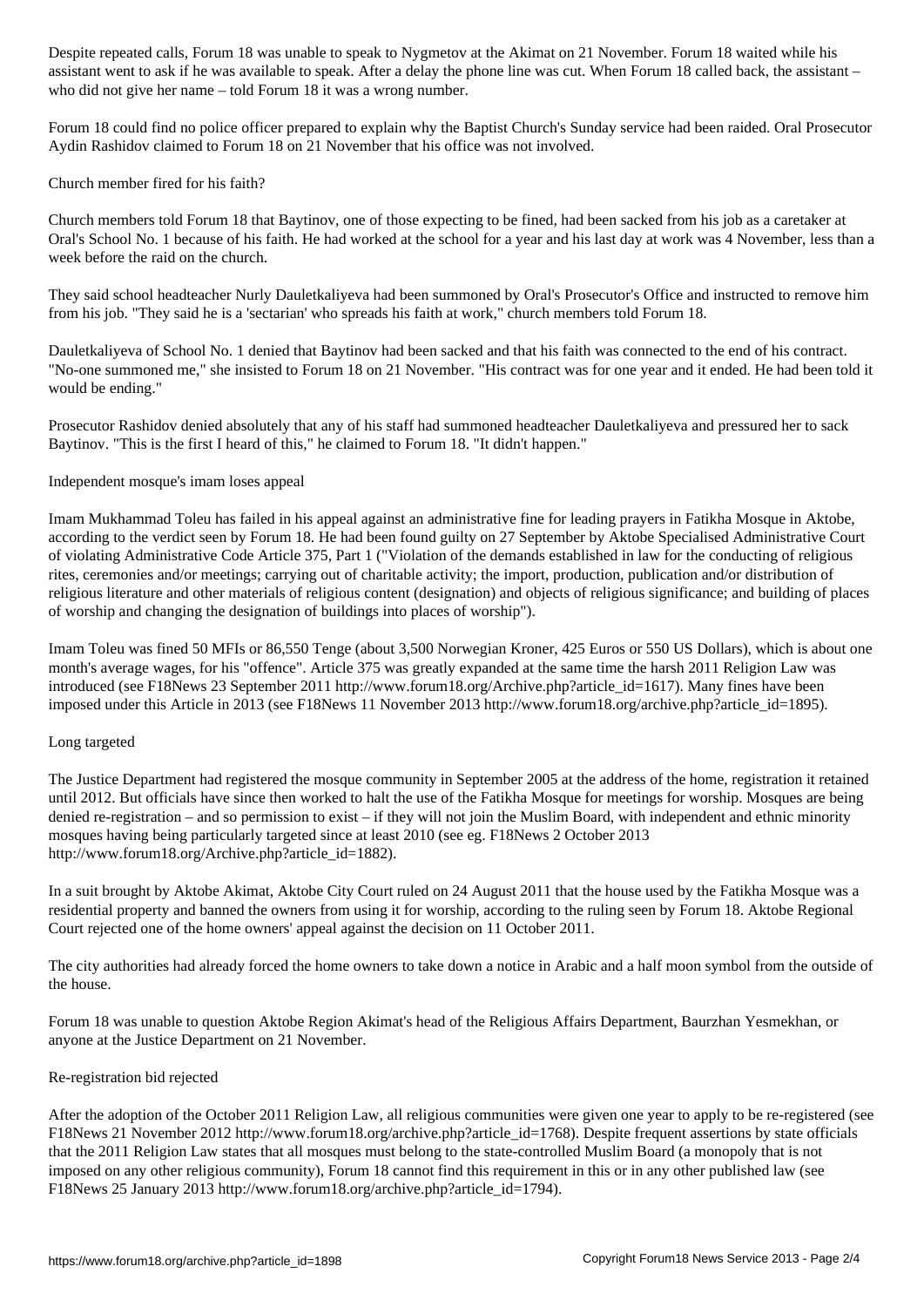as available to ask if he was available to speak. After a delay the phone line was cut. When  $\mathcal{A}$ who did not give her name – told Forum 18 it was a wrong number.

Forum 18 could find no police officer prepared to explain why the Baptist Church's Sunday service had been raided. Oral Prosecutor Aydin Rashidov claimed to Forum 18 on 21 November that his office was not involved.

Church member fired for his faith?

Church members told Forum 18 that Baytinov, one of those expecting to be fined, had been sacked from his job as a caretaker at Oral's School No. 1 because of his faith. He had worked at the school for a year and his last day at work was 4 November, less than a week before the raid on the church.

They said school headteacher Nurly Dauletkaliyeva had been summoned by Oral's Prosecutor's Office and instructed to remove him from his job. "They said he is a 'sectarian' who spreads his faith at work," church members told Forum 18.

Dauletkaliyeva of School No. 1 denied that Baytinov had been sacked and that his faith was connected to the end of his contract. "No-one summoned me," she insisted to Forum 18 on 21 November. "His contract was for one year and it ended. He had been told it would be ending."

Prosecutor Rashidov denied absolutely that any of his staff had summoned headteacher Dauletkaliyeva and pressured her to sack Baytinov. "This is the first I heard of this," he claimed to Forum 18. "It didn't happen."

Independent mosque's imam loses appeal

Imam Mukhammad Toleu has failed in his appeal against an administrative fine for leading prayers in Fatikha Mosque in Aktobe, according to the verdict seen by Forum 18. He had been found guilty on 27 September by Aktobe Specialised Administrative Court of violating Administrative Code Article 375, Part 1 ("Violation of the demands established in law for the conducting of religious rites, ceremonies and/or meetings; carrying out of charitable activity; the import, production, publication and/or distribution of religious literature and other materials of religious content (designation) and objects of religious significance; and building of places of worship and changing the designation of buildings into places of worship").

Imam Toleu was fined 50 MFIs or 86,550 Tenge (about 3,500 Norwegian Kroner, 425 Euros or 550 US Dollars), which is about one month's average wages, for his "offence". Article 375 was greatly expanded at the same time the harsh 2011 Religion Law was introduced (see F18News 23 September 2011 http://www.forum18.org/Archive.php?article\_id=1617). Many fines have been imposed under this Article in 2013 (see F18News 11 November 2013 http://www.forum18.org/archive.php?article\_id=1895).

Long targeted

The Justice Department had registered the mosque community in September 2005 at the address of the home, registration it retained until 2012. But officials have since then worked to halt the use of the Fatikha Mosque for meetings for worship. Mosques are being denied re-registration – and so permission to exist – if they will not join the Muslim Board, with independent and ethnic minority mosques having being particularly targeted since at least 2010 (see eg. F18News 2 October 2013 http://www.forum18.org/Archive.php?article\_id=1882).

In a suit brought by Aktobe Akimat, Aktobe City Court ruled on 24 August 2011 that the house used by the Fatikha Mosque was a residential property and banned the owners from using it for worship, according to the ruling seen by Forum 18. Aktobe Regional Court rejected one of the home owners' appeal against the decision on 11 October 2011.

The city authorities had already forced the home owners to take down a notice in Arabic and a half moon symbol from the outside of the house.

Forum 18 was unable to question Aktobe Region Akimat's head of the Religious Affairs Department, Baurzhan Yesmekhan, or anyone at the Justice Department on 21 November.

### Re-registration bid rejected

After the adoption of the October 2011 Religion Law, all religious communities were given one year to apply to be re-registered (see F18News 21 November 2012 http://www.forum18.org/archive.php?article\_id=1768). Despite frequent assertions by state officials that the 2011 Religion Law states that all mosques must belong to the state-controlled Muslim Board (a monopoly that is not imposed on any other religious community), Forum 18 cannot find this requirement in this or in any other published law (see F18News 25 January 2013 http://www.forum18.org/archive.php?article\_id=1794).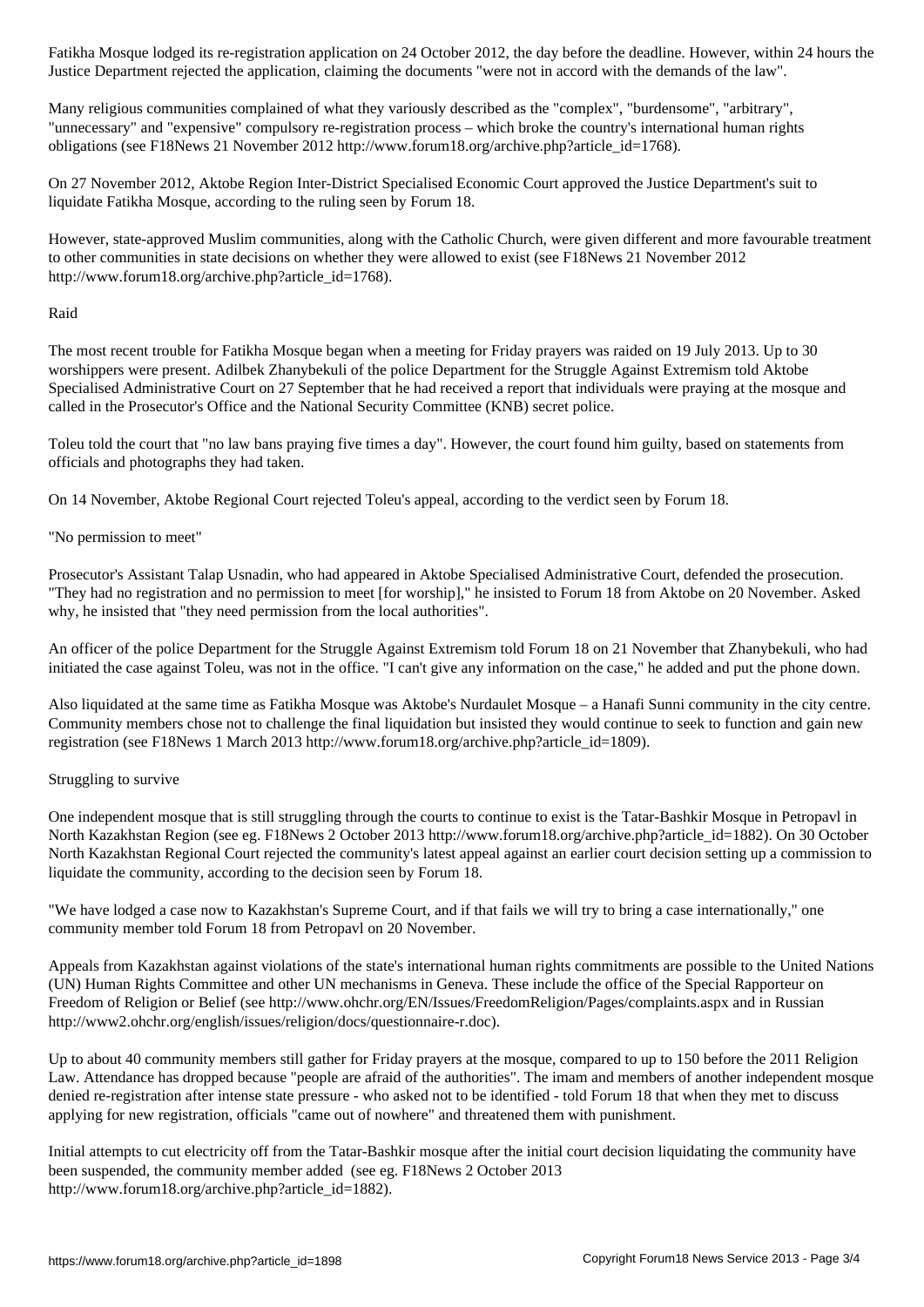Justice Department rejected the application, claiming the documents "were not in accord with the demands of the law".

Many religious communities complained of what they variously described as the "complex", "burdensome", "arbitrary", "unnecessary" and "expensive" compulsory re-registration process – which broke the country's international human rights obligations (see F18News 21 November 2012 http://www.forum18.org/archive.php?article\_id=1768).

On 27 November 2012, Aktobe Region Inter-District Specialised Economic Court approved the Justice Department's suit to liquidate Fatikha Mosque, according to the ruling seen by Forum 18.

However, state-approved Muslim communities, along with the Catholic Church, were given different and more favourable treatment to other communities in state decisions on whether they were allowed to exist (see F18News 21 November 2012 http://www.forum18.org/archive.php?article\_id=1768).

### Raid

The most recent trouble for Fatikha Mosque began when a meeting for Friday prayers was raided on 19 July 2013. Up to 30 worshippers were present. Adilbek Zhanybekuli of the police Department for the Struggle Against Extremism told Aktobe Specialised Administrative Court on 27 September that he had received a report that individuals were praying at the mosque and called in the Prosecutor's Office and the National Security Committee (KNB) secret police.

Toleu told the court that "no law bans praying five times a day". However, the court found him guilty, based on statements from officials and photographs they had taken.

On 14 November, Aktobe Regional Court rejected Toleu's appeal, according to the verdict seen by Forum 18.

# "No permission to meet"

Prosecutor's Assistant Talap Usnadin, who had appeared in Aktobe Specialised Administrative Court, defended the prosecution. "They had no registration and no permission to meet [for worship]," he insisted to Forum 18 from Aktobe on 20 November. Asked why, he insisted that "they need permission from the local authorities".

An officer of the police Department for the Struggle Against Extremism told Forum 18 on 21 November that Zhanybekuli, who had initiated the case against Toleu, was not in the office. "I can't give any information on the case," he added and put the phone down.

Also liquidated at the same time as Fatikha Mosque was Aktobe's Nurdaulet Mosque – a Hanafi Sunni community in the city centre. Community members chose not to challenge the final liquidation but insisted they would continue to seek to function and gain new registration (see F18News 1 March 2013 http://www.forum18.org/archive.php?article\_id=1809).

### Struggling to survive

One independent mosque that is still struggling through the courts to continue to exist is the Tatar-Bashkir Mosque in Petropavl in North Kazakhstan Region (see eg. F18News 2 October 2013 http://www.forum18.org/archive.php?article\_id=1882). On 30 October North Kazakhstan Regional Court rejected the community's latest appeal against an earlier court decision setting up a commission to liquidate the community, according to the decision seen by Forum 18.

"We have lodged a case now to Kazakhstan's Supreme Court, and if that fails we will try to bring a case internationally," one community member told Forum 18 from Petropavl on 20 November.

Appeals from Kazakhstan against violations of the state's international human rights commitments are possible to the United Nations (UN) Human Rights Committee and other UN mechanisms in Geneva. These include the office of the Special Rapporteur on Freedom of Religion or Belief (see http://www.ohchr.org/EN/Issues/FreedomReligion/Pages/complaints.aspx and in Russian http://www2.ohchr.org/english/issues/religion/docs/questionnaire-r.doc).

Up to about 40 community members still gather for Friday prayers at the mosque, compared to up to 150 before the 2011 Religion Law. Attendance has dropped because "people are afraid of the authorities". The imam and members of another independent mosque denied re-registration after intense state pressure - who asked not to be identified - told Forum 18 that when they met to discuss applying for new registration, officials "came out of nowhere" and threatened them with punishment.

Initial attempts to cut electricity off from the Tatar-Bashkir mosque after the initial court decision liquidating the community have been suspended, the community member added (see eg. F18News 2 October 2013 http://www.forum18.org/archive.php?article\_id=1882).